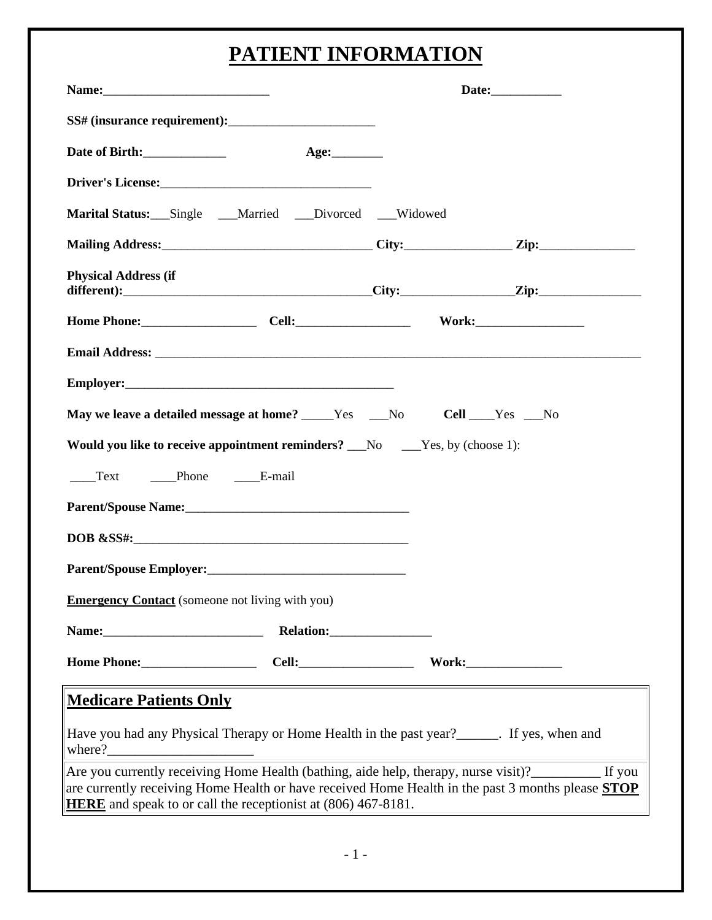# **PATIENT INFORMATION**

| Marital Status: Single Married Divorced Widowed                                             |                                                                                                                                                                                                                  |
|---------------------------------------------------------------------------------------------|------------------------------------------------------------------------------------------------------------------------------------------------------------------------------------------------------------------|
|                                                                                             |                                                                                                                                                                                                                  |
| <b>Physical Address (if</b>                                                                 |                                                                                                                                                                                                                  |
| Home Phone: Cell: Cell: Work: Work:                                                         |                                                                                                                                                                                                                  |
|                                                                                             |                                                                                                                                                                                                                  |
|                                                                                             |                                                                                                                                                                                                                  |
| May we leave a detailed message at home? _____Yes ___No Cell ___Yes __No                    |                                                                                                                                                                                                                  |
| <b>Would you like to receive appointment reminders?</b> No No. 1):                          |                                                                                                                                                                                                                  |
| _____Text ______Phone _______E-mail                                                         |                                                                                                                                                                                                                  |
|                                                                                             |                                                                                                                                                                                                                  |
| $DOB & SSS#$ :                                                                              |                                                                                                                                                                                                                  |
|                                                                                             |                                                                                                                                                                                                                  |
| <b>Emergency Contact</b> (someone not living with you)                                      |                                                                                                                                                                                                                  |
|                                                                                             |                                                                                                                                                                                                                  |
| Home Phone: Cell: Cell: Work:                                                               |                                                                                                                                                                                                                  |
| <b>Medicare Patients Only</b>                                                               |                                                                                                                                                                                                                  |
| Have you had any Physical Therapy or Home Health in the past year?_______. If yes, when and |                                                                                                                                                                                                                  |
| <b>HERE</b> and speak to or call the receptionist at (806) 467-8181.                        | Are you currently receiving Home Health (bathing, aide help, therapy, nurse visit)?__________ If you<br>are currently receiving Home Health or have received Home Health in the past 3 months please <b>STOP</b> |
|                                                                                             |                                                                                                                                                                                                                  |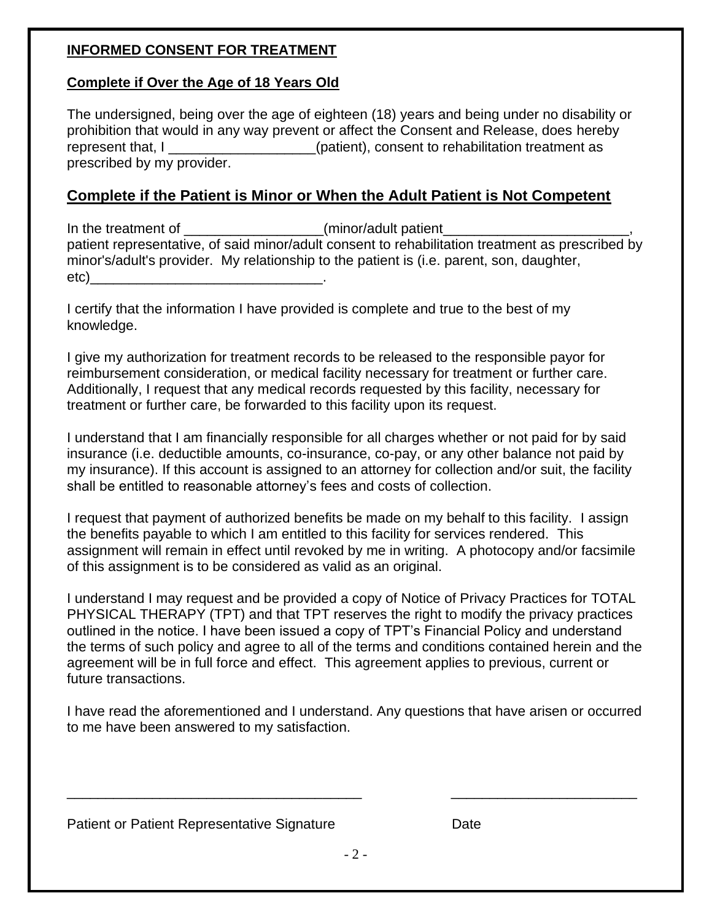## **INFORMED CONSENT FOR TREATMENT**

## **Complete if Over the Age of 18 Years Old**

The undersigned, being over the age of eighteen (18) years and being under no disability or prohibition that would in any way prevent or affect the Consent and Release, does hereby represent that, I \_\_\_\_\_\_\_\_\_\_\_\_\_\_\_\_\_\_\_\_(patient), consent to rehabilitation treatment as prescribed by my provider.

## **Complete if the Patient is Minor or When the Adult Patient is Not Competent**

In the treatment of \_\_\_\_\_\_\_\_\_\_\_\_\_\_\_\_\_\_\_\_(minor/adult patient\_ patient representative, of said minor/adult consent to rehabilitation treatment as prescribed by minor's/adult's provider. My relationship to the patient is (i.e. parent, son, daughter, etc)

I certify that the information I have provided is complete and true to the best of my knowledge.

I give my authorization for treatment records to be released to the responsible payor for reimbursement consideration, or medical facility necessary for treatment or further care. Additionally, I request that any medical records requested by this facility, necessary for treatment or further care, be forwarded to this facility upon its request.

I understand that I am financially responsible for all charges whether or not paid for by said insurance (i.e. deductible amounts, co-insurance, co-pay, or any other balance not paid by my insurance). If this account is assigned to an attorney for collection and/or suit, the facility shall be entitled to reasonable attorney's fees and costs of collection.

I request that payment of authorized benefits be made on my behalf to this facility. I assign the benefits payable to which I am entitled to this facility for services rendered. This assignment will remain in effect until revoked by me in writing. A photocopy and/or facsimile of this assignment is to be considered as valid as an original.

I understand I may request and be provided a copy of Notice of Privacy Practices for TOTAL PHYSICAL THERAPY (TPT) and that TPT reserves the right to modify the privacy practices outlined in the notice. I have been issued a copy of TPT's Financial Policy and understand the terms of such policy and agree to all of the terms and conditions contained herein and the agreement will be in full force and effect. This agreement applies to previous, current or future transactions.

I have read the aforementioned and I understand. Any questions that have arisen or occurred to me have been answered to my satisfaction.

### Patient or Patient Representative Signature **Example 2** Date

 $-2 -$ 

\_\_\_\_\_\_\_\_\_\_\_\_\_\_\_\_\_\_\_\_\_\_\_\_\_\_\_\_\_\_\_\_\_\_\_\_\_\_ \_\_\_\_\_\_\_\_\_\_\_\_\_\_\_\_\_\_\_\_\_\_\_\_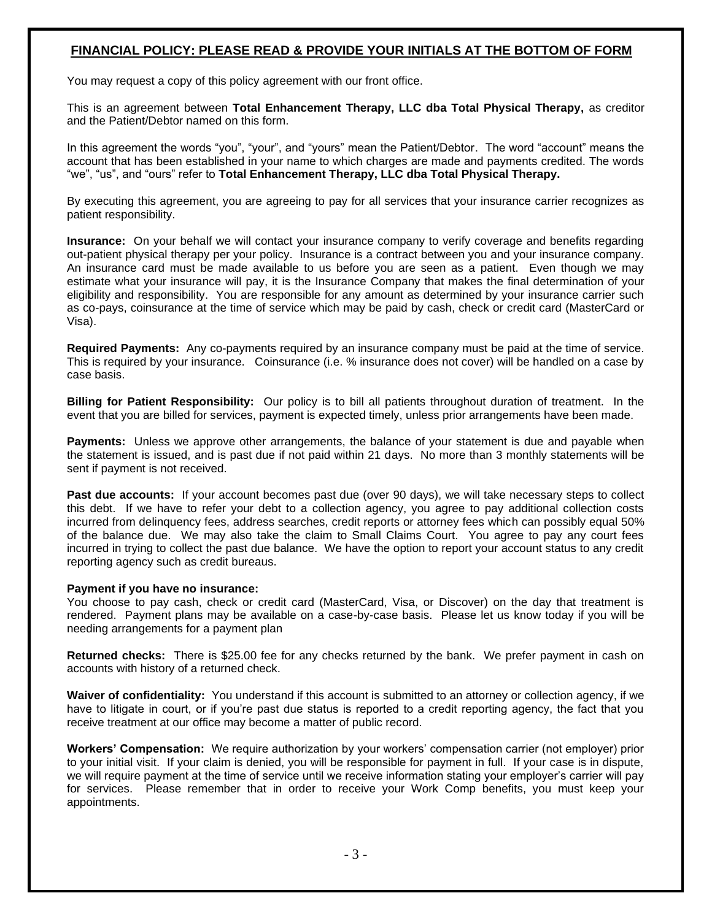### **FINANCIAL POLICY: PLEASE READ & PROVIDE YOUR INITIALS AT THE BOTTOM OF FORM**

You may request a copy of this policy agreement with our front office.

This is an agreement between **Total Enhancement Therapy, LLC dba Total Physical Therapy,** as creditor and the Patient/Debtor named on this form.

In this agreement the words "you", "your", and "yours" mean the Patient/Debtor. The word "account" means the account that has been established in your name to which charges are made and payments credited. The words "we", "us", and "ours" refer to **Total Enhancement Therapy, LLC dba Total Physical Therapy.**

By executing this agreement, you are agreeing to pay for all services that your insurance carrier recognizes as patient responsibility.

**Insurance:** On your behalf we will contact your insurance company to verify coverage and benefits regarding out-patient physical therapy per your policy. Insurance is a contract between you and your insurance company. An insurance card must be made available to us before you are seen as a patient. Even though we may estimate what your insurance will pay, it is the Insurance Company that makes the final determination of your eligibility and responsibility. You are responsible for any amount as determined by your insurance carrier such as co-pays, coinsurance at the time of service which may be paid by cash, check or credit card (MasterCard or Visa).

**Required Payments:** Any co-payments required by an insurance company must be paid at the time of service. This is required by your insurance. Coinsurance (i.e. % insurance does not cover) will be handled on a case by case basis.

**Billing for Patient Responsibility:** Our policy is to bill all patients throughout duration of treatment. In the event that you are billed for services, payment is expected timely, unless prior arrangements have been made.

**Payments:** Unless we approve other arrangements, the balance of your statement is due and payable when the statement is issued, and is past due if not paid within 21 days. No more than 3 monthly statements will be sent if payment is not received.

**Past due accounts:** If your account becomes past due (over 90 days), we will take necessary steps to collect this debt. If we have to refer your debt to a collection agency, you agree to pay additional collection costs incurred from delinquency fees, address searches, credit reports or attorney fees which can possibly equal 50% of the balance due. We may also take the claim to Small Claims Court. You agree to pay any court fees incurred in trying to collect the past due balance. We have the option to report your account status to any credit reporting agency such as credit bureaus.

#### **Payment if you have no insurance:**

You choose to pay cash, check or credit card (MasterCard, Visa, or Discover) on the day that treatment is rendered. Payment plans may be available on a case-by-case basis. Please let us know today if you will be needing arrangements for a payment plan

**Returned checks:** There is \$25.00 fee for any checks returned by the bank. We prefer payment in cash on accounts with history of a returned check.

**Waiver of confidentiality:** You understand if this account is submitted to an attorney or collection agency, if we have to litigate in court, or if you're past due status is reported to a credit reporting agency, the fact that you receive treatment at our office may become a matter of public record.

**Workers' Compensation:** We require authorization by your workers' compensation carrier (not employer) prior to your initial visit. If your claim is denied, you will be responsible for payment in full. If your case is in dispute, we will require payment at the time of service until we receive information stating your employer's carrier will pay for services. Please remember that in order to receive your Work Comp benefits, you must keep your appointments.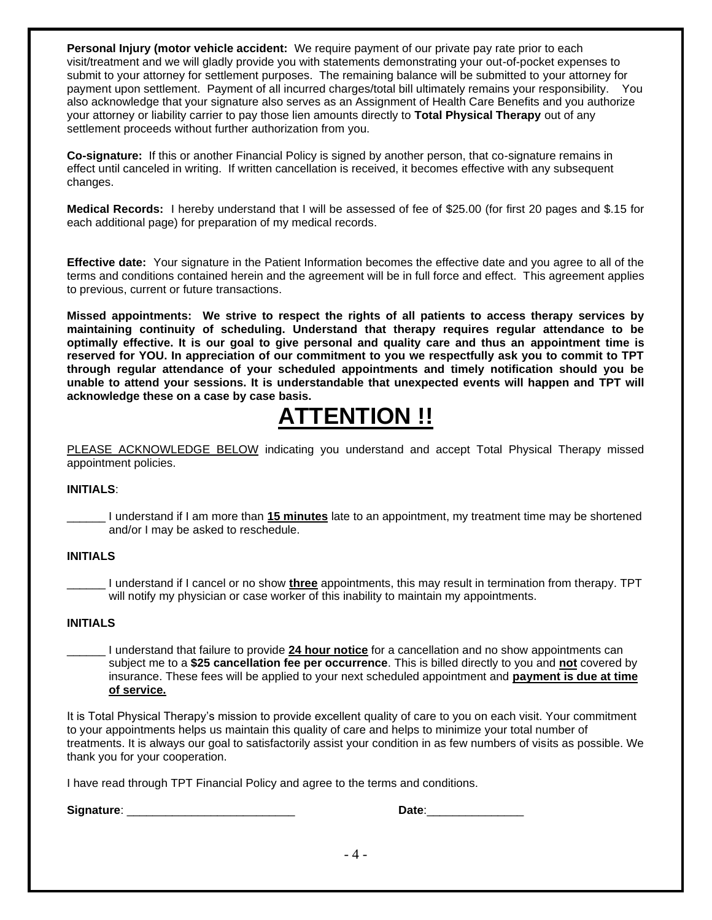**Personal Injury (motor vehicle accident:** We require payment of our private pay rate prior to each visit/treatment and we will gladly provide you with statements demonstrating your out-of-pocket expenses to submit to your attorney for settlement purposes. The remaining balance will be submitted to your attorney for payment upon settlement. Payment of all incurred charges/total bill ultimately remains your responsibility. You also acknowledge that your signature also serves as an Assignment of Health Care Benefits and you authorize your attorney or liability carrier to pay those lien amounts directly to **Total Physical Therapy** out of any settlement proceeds without further authorization from you.

**Co-signature:** If this or another Financial Policy is signed by another person, that co-signature remains in effect until canceled in writing. If written cancellation is received, it becomes effective with any subsequent changes.

**Medical Records:** I hereby understand that I will be assessed of fee of \$25.00 (for first 20 pages and \$.15 for each additional page) for preparation of my medical records.

**Effective date:** Your signature in the Patient Information becomes the effective date and you agree to all of the terms and conditions contained herein and the agreement will be in full force and effect. This agreement applies to previous, current or future transactions.

**Missed appointments: We strive to respect the rights of all patients to access therapy services by maintaining continuity of scheduling. Understand that therapy requires regular attendance to be optimally effective. It is our goal to give personal and quality care and thus an appointment time is reserved for YOU. In appreciation of our commitment to you we respectfully ask you to commit to TPT through regular attendance of your scheduled appointments and timely notification should you be unable to attend your sessions. It is understandable that unexpected events will happen and TPT will acknowledge these on a case by case basis.** 

## **ATTENTION !!**

PLEASE ACKNOWLEDGE BELOW indicating you understand and accept Total Physical Therapy missed appointment policies.

#### **INITIALS**:

\_\_\_\_\_\_ I understand if I am more than **15 minutes** late to an appointment, my treatment time may be shortened and/or I may be asked to reschedule.

#### **INITIALS**

\_\_\_\_\_\_ I understand if I cancel or no show **three** appointments, this may result in termination from therapy. TPT will notify my physician or case worker of this inability to maintain my appointments.

#### **INITIALS**

\_\_\_\_\_\_ I understand that failure to provide **24 hour notice** for a cancellation and no show appointments can subject me to a **\$25 cancellation fee per occurrence**. This is billed directly to you and **not** covered by insurance. These fees will be applied to your next scheduled appointment and **payment is due at time of service.**

It is Total Physical Therapy's mission to provide excellent quality of care to you on each visit. Your commitment to your appointments helps us maintain this quality of care and helps to minimize your total number of treatments. It is always our goal to satisfactorily assist your condition in as few numbers of visits as possible. We thank you for your cooperation.

I have read through TPT Financial Policy and agree to the terms and conditions.

**Signature**: \_\_\_\_\_\_\_\_\_\_\_\_\_\_\_\_\_\_\_\_\_\_\_\_\_\_ **Date**:\_\_\_\_\_\_\_\_\_\_\_\_\_\_\_

| ۰ ماه،<br>sale |
|----------------|
|----------------|

- 4 -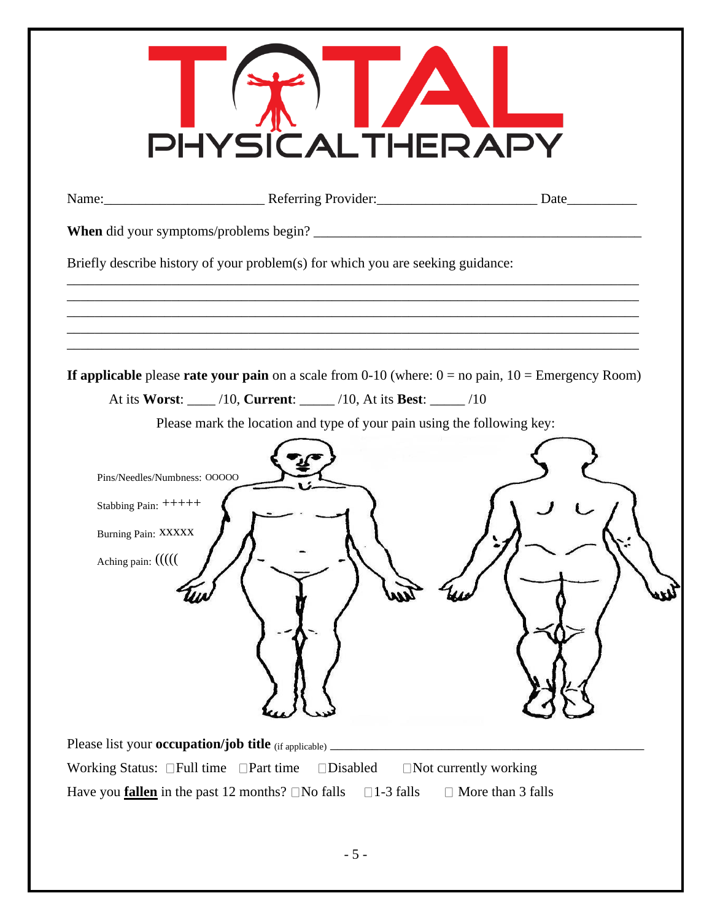| PHYSICALTHERAF                                                                                                                                                                                                                                                                                                                                              |
|-------------------------------------------------------------------------------------------------------------------------------------------------------------------------------------------------------------------------------------------------------------------------------------------------------------------------------------------------------------|
| Name: Date                                                                                                                                                                                                                                                                                                                                                  |
| When did your symptoms/problems begin?                                                                                                                                                                                                                                                                                                                      |
| Briefly describe history of your problem(s) for which you are seeking guidance:                                                                                                                                                                                                                                                                             |
| If applicable please rate your pain on a scale from 0-10 (where: $0 =$ no pain, $10 =$ Emergency Room)<br>At its Worst: ____ /10, Current: ____ /10, At its Best: ____ /10<br>Please mark the location and type of your pain using the following key:<br>Pins/Needles/Numbness: OOOOO<br>Stabbing Pain: ++++++<br>Burning Pain: XXXXX<br>Aching pain: ((((( |
| Please list your <b>occupation/job title</b> (if applicable)                                                                                                                                                                                                                                                                                                |
| Working Status: $\Box$ Full time $\Box$ Part time<br>$\square$ Disabled<br>$\Box$ Not currently working                                                                                                                                                                                                                                                     |
| Have you <b>fallen</b> in the past 12 months? $\Box$ No falls<br>$\Box$ 1-3 falls<br>$\Box$ More than 3 falls                                                                                                                                                                                                                                               |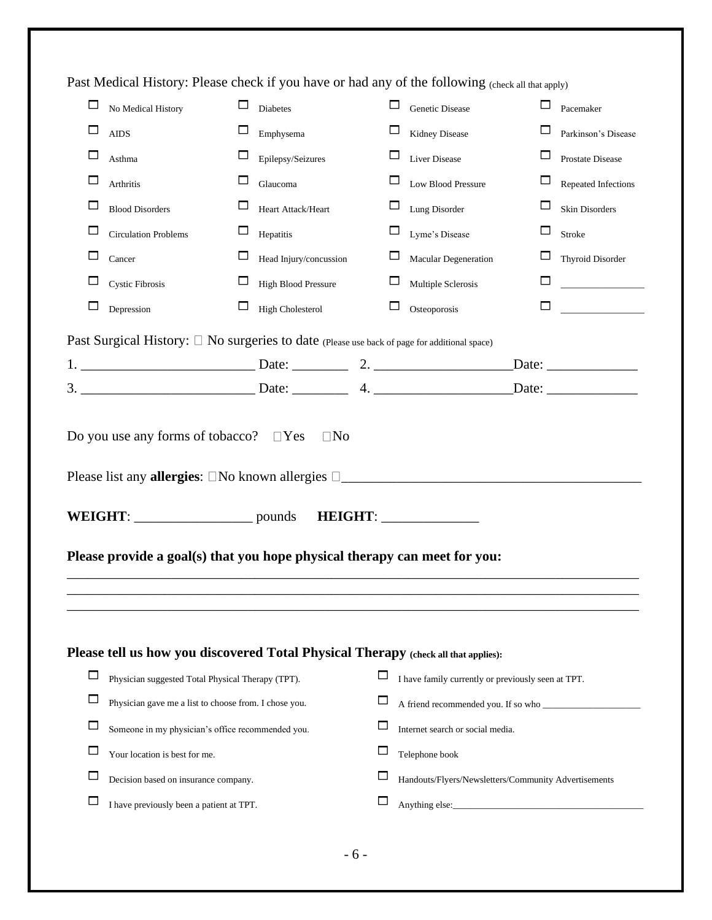|        | Past Medical History: Please check if you have or had any of the following (check all that apply) |          |                         |        |                                                      |        |                         |
|--------|---------------------------------------------------------------------------------------------------|----------|-------------------------|--------|------------------------------------------------------|--------|-------------------------|
|        | No Medical History                                                                                | $\Box$   | Diabetes                | □      | Genetic Disease                                      |        | Pacemaker               |
| ப      | <b>AIDS</b>                                                                                       |          | Emphysema               | $\Box$ | Kidney Disease                                       |        | Parkinson's Disease     |
| ⊏      | Asthma                                                                                            |          | Epilepsy/Seizures       | $\Box$ | Liver Disease                                        | $\Box$ | Prostate Disease        |
|        | Arthritis                                                                                         | $\Box$   | Glaucoma                | $\Box$ | Low Blood Pressure                                   | ப      | Repeated Infections     |
| □      | <b>Blood Disorders</b>                                                                            | $\Box$   | Heart Attack/Heart      | $\Box$ | Lung Disorder                                        | ப      | Skin Disorders          |
| $\Box$ | <b>Circulation Problems</b>                                                                       | $\sqcup$ | Hepatitis               | $\Box$ | Lyme's Disease                                       | ப      | Stroke                  |
|        | Cancer                                                                                            |          | Head Injury/concussion  | $\Box$ | Macular Degeneration                                 |        | <b>Thyroid Disorder</b> |
|        | Cystic Fibrosis                                                                                   |          | High Blood Pressure     | □      | Multiple Sclerosis                                   | □      |                         |
|        | Depression                                                                                        | $\sqcup$ | <b>High Cholesterol</b> | $\Box$ | Osteoporosis                                         | □      |                         |
|        | Past Surgical History: □ No surgeries to date (Please use back of page for additional space)      |          |                         |        |                                                      |        |                         |
|        |                                                                                                   |          |                         |        |                                                      |        |                         |
|        | 3. Date: 4. Date: 4.                                                                              |          |                         |        |                                                      |        |                         |
|        | Do you use any forms of tobacco? $\Box$ Yes                                                       |          | $\Box$ No               |        |                                                      |        |                         |
|        |                                                                                                   |          |                         |        |                                                      |        |                         |
|        | Please provide a goal(s) that you hope physical therapy can meet for you:                         |          |                         |        |                                                      |        |                         |
|        | Please tell us how you discovered Total Physical Therapy (check all that applies):                |          |                         |        |                                                      |        |                         |
| $\Box$ | Physician suggested Total Physical Therapy (TPT).                                                 |          |                         |        | I have family currently or previously seen at TPT.   |        |                         |
| $\Box$ | Physician gave me a list to choose from. I chose you.                                             |          |                         | ப      | A friend recommended you. If so who                  |        |                         |
|        | Someone in my physician's office recommended you.                                                 |          |                         | ப      | Internet search or social media.                     |        |                         |
| $\Box$ | Your location is best for me.                                                                     |          |                         | ப      | Telephone book                                       |        |                         |
|        | Decision based on insurance company.                                                              |          |                         |        | Handouts/Flyers/Newsletters/Community Advertisements |        |                         |

- 6 -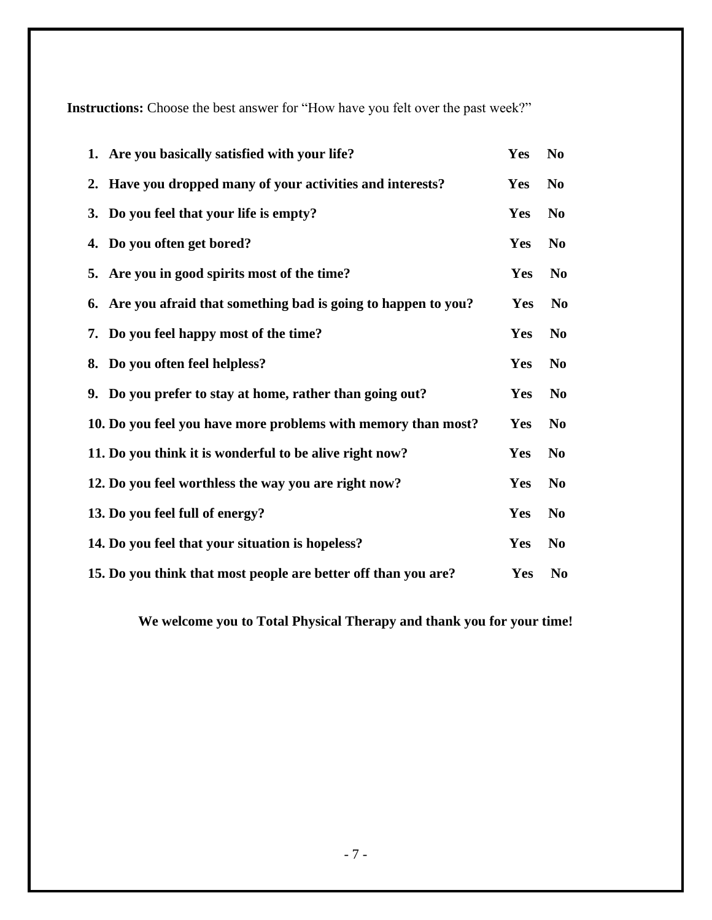**Instructions:** Choose the best answer for "How have you felt over the past week?"

| 1. Are you basically satisfied with your life?                  | <b>Yes</b> | N <sub>0</sub> |
|-----------------------------------------------------------------|------------|----------------|
| 2. Have you dropped many of your activities and interests?      | Yes        | N <sub>0</sub> |
| 3. Do you feel that your life is empty?                         | Yes        | N <sub>0</sub> |
| 4. Do you often get bored?                                      | Yes        | N <sub>0</sub> |
| 5. Are you in good spirits most of the time?                    | Yes        | N <sub>0</sub> |
| 6. Are you afraid that something bad is going to happen to you? | Yes        | N <sub>0</sub> |
| 7. Do you feel happy most of the time?                          | Yes        | N <sub>0</sub> |
| 8. Do you often feel helpless?                                  | Yes        | N <sub>0</sub> |
| 9. Do you prefer to stay at home, rather than going out?        | Yes        | N <sub>0</sub> |
| 10. Do you feel you have more problems with memory than most?   | Yes        | N <sub>0</sub> |
| 11. Do you think it is wonderful to be alive right now?         | Yes        | N <sub>0</sub> |
| 12. Do you feel worthless the way you are right now?            | Yes        | N <sub>0</sub> |
| 13. Do you feel full of energy?                                 | Yes        | N <sub>0</sub> |
| 14. Do you feel that your situation is hopeless?                | Yes        | N <sub>0</sub> |
| 15. Do you think that most people are better off than you are?  | Yes        | N <sub>0</sub> |

**We welcome you to Total Physical Therapy and thank you for your time!**